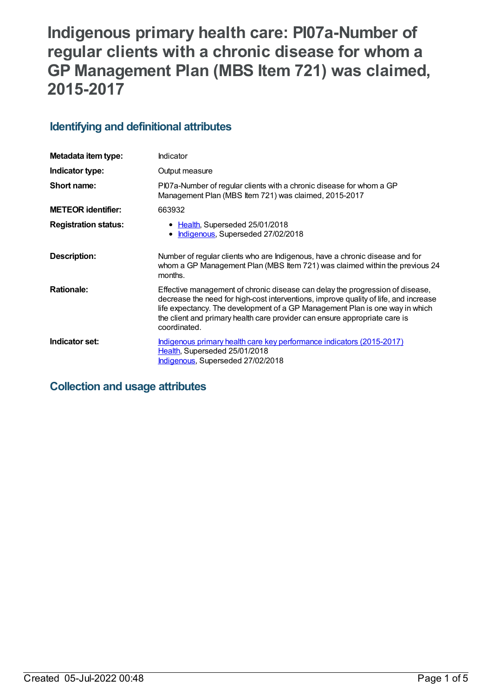# **Indigenous primary health care: PI07a-Number of regular clients with a chronic disease for whom a GP Management Plan (MBS Item 721) was claimed, 2015-2017**

# **Identifying and definitional attributes**

| Metadata item type:         | Indicator                                                                                                                                                                                                                                                                                                                                           |
|-----------------------------|-----------------------------------------------------------------------------------------------------------------------------------------------------------------------------------------------------------------------------------------------------------------------------------------------------------------------------------------------------|
| Indicator type:             | Output measure                                                                                                                                                                                                                                                                                                                                      |
| Short name:                 | PI07a-Number of regular clients with a chronic disease for whom a GP<br>Management Plan (MBS Item 721) was claimed, 2015-2017                                                                                                                                                                                                                       |
| <b>METEOR identifier:</b>   | 663932                                                                                                                                                                                                                                                                                                                                              |
| <b>Registration status:</b> | • Health, Superseded 25/01/2018<br>Indigenous, Superseded 27/02/2018                                                                                                                                                                                                                                                                                |
| Description:                | Number of regular clients who are Indigenous, have a chronic disease and for<br>whom a GP Management Plan (MBS Item 721) was claimed within the previous 24<br>months.                                                                                                                                                                              |
| <b>Rationale:</b>           | Effective management of chronic disease can delay the progression of disease,<br>decrease the need for high-cost interventions, improve quality of life, and increase<br>life expectancy. The development of a GP Management Plan is one way in which<br>the client and primary health care provider can ensure appropriate care is<br>coordinated. |
| Indicator set:              | Indigenous primary health care key performance indicators (2015-2017)<br>Health, Superseded 25/01/2018<br>Indigenous, Superseded 27/02/2018                                                                                                                                                                                                         |

# **Collection and usage attributes**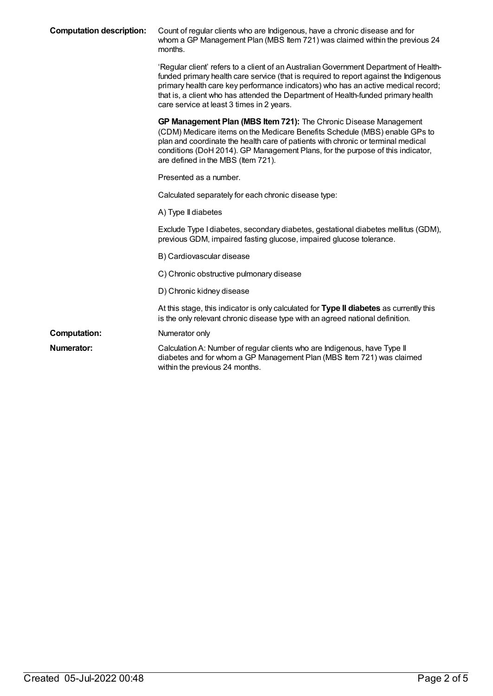| <b>Computation description:</b> | Count of regular clients who are Indigenous, have a chronic disease and for<br>whom a GP Management Plan (MBS Item 721) was claimed within the previous 24<br>months.                                                                                                                                                                                                                                 |
|---------------------------------|-------------------------------------------------------------------------------------------------------------------------------------------------------------------------------------------------------------------------------------------------------------------------------------------------------------------------------------------------------------------------------------------------------|
|                                 | 'Regular client' refers to a client of an Australian Government Department of Health-<br>funded primary health care service (that is required to report against the Indigenous<br>primary health care key performance indicators) who has an active medical record;<br>that is, a client who has attended the Department of Health-funded primary health<br>care service at least 3 times in 2 years. |
|                                 | GP Management Plan (MBS Item 721): The Chronic Disease Management<br>(CDM) Medicare items on the Medicare Benefits Schedule (MBS) enable GPs to<br>plan and coordinate the health care of patients with chronic or terminal medical<br>conditions (DoH 2014). GP Management Plans, for the purpose of this indicator,<br>are defined in the MBS (Item 721).                                           |
|                                 | Presented as a number.                                                                                                                                                                                                                                                                                                                                                                                |
|                                 | Calculated separately for each chronic disease type:                                                                                                                                                                                                                                                                                                                                                  |
|                                 | A) Type II diabetes                                                                                                                                                                                                                                                                                                                                                                                   |
|                                 | Exclude Type I diabetes, secondary diabetes, gestational diabetes mellitus (GDM),<br>previous GDM, impaired fasting glucose, impaired glucose tolerance.                                                                                                                                                                                                                                              |
|                                 | B) Cardiovascular disease                                                                                                                                                                                                                                                                                                                                                                             |
|                                 | C) Chronic obstructive pulmonary disease                                                                                                                                                                                                                                                                                                                                                              |
|                                 | D) Chronic kidney disease                                                                                                                                                                                                                                                                                                                                                                             |
|                                 | At this stage, this indicator is only calculated for Type II diabetes as currently this<br>is the only relevant chronic disease type with an agreed national definition.                                                                                                                                                                                                                              |
| <b>Computation:</b>             | Numerator only                                                                                                                                                                                                                                                                                                                                                                                        |
| <b>Numerator:</b>               | Calculation A: Number of regular clients who are Indigenous, have Type II<br>diabetes and for whom a GP Management Plan (MBS Item 721) was claimed<br>within the previous 24 months.                                                                                                                                                                                                                  |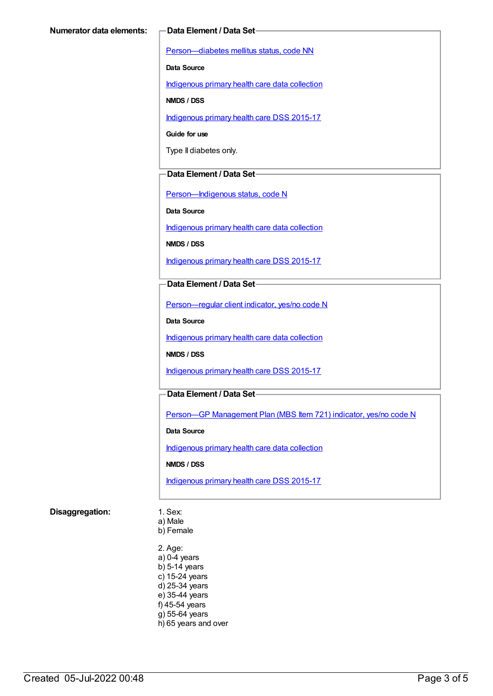[Person—diabetes](https://meteor.aihw.gov.au/content/270194) mellitus status, code NN

**Data Source**

[Indigenous](https://meteor.aihw.gov.au/content/430643) primary health care data collection

**NMDS / DSS**

[Indigenous](https://meteor.aihw.gov.au/content/585036) primary health care DSS 2015-17

**Guide for use**

Type II diabetes only.

#### **Data Element / Data Set**

[Person—Indigenous](https://meteor.aihw.gov.au/content/291036) status, code N

**Data Source**

[Indigenous](https://meteor.aihw.gov.au/content/430643) primary health care data collection

**NMDS / DSS**

[Indigenous](https://meteor.aihw.gov.au/content/585036) primary health care DSS 2015-17

#### **Data Element / Data Set**

[Person—regular](https://meteor.aihw.gov.au/content/436639) client indicator, yes/no code N

**Data Source**

[Indigenous](https://meteor.aihw.gov.au/content/430643) primary health care data collection

**NMDS / DSS**

[Indigenous](https://meteor.aihw.gov.au/content/585036) primary health care DSS 2015-17

#### **Data Element / Data Set**

Person—GP [Management](https://meteor.aihw.gov.au/content/504966) Plan (MBS Item 721) indicator, yes/no code N

**Data Source**

[Indigenous](https://meteor.aihw.gov.au/content/430643) primary health care data collection

**NMDS / DSS**

[Indigenous](https://meteor.aihw.gov.au/content/585036) primary health care DSS 2015-17

#### **Disaggregation:** 1. Sex:

- 
- a) Male b) Female
- 2. Age: a) 0-4 years b) 5-14 years c) 15-24 years d) 25-34 years e) 35-44 years f) 45-54 years g) 55-64 years h) 65 years and over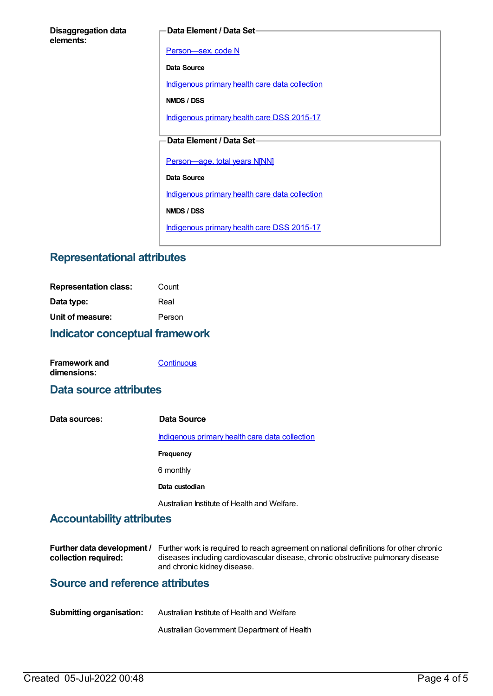#### **Data Element / Data Set**

[Person—sex,](https://meteor.aihw.gov.au/content/287316) code N

**Data Source**

[Indigenous](https://meteor.aihw.gov.au/content/430643) primary health care data collection

**NMDS / DSS**

[Indigenous](https://meteor.aihw.gov.au/content/585036) primary health care DSS 2015-17

#### **Data Element / Data Set**

[Person—age,](https://meteor.aihw.gov.au/content/303794) total years N[NN]

**Data Source**

[Indigenous](https://meteor.aihw.gov.au/content/430643) primary health care data collection

**NMDS / DSS**

[Indigenous](https://meteor.aihw.gov.au/content/585036) primary health care DSS 2015-17

# **Representational attributes**

| <b>Indicator conceptual framework</b> |        |
|---------------------------------------|--------|
| Unit of measure:                      | Person |
| Data type:                            | Real   |
| <b>Representation class:</b>          | Count  |

| <b>Framework and</b> | Continuous |
|----------------------|------------|
| dimensions:          |            |

### **Data source attributes**

| Data sources: | Data Source                                    |
|---------------|------------------------------------------------|
|               | Indigenous primary health care data collection |
|               | Frequency                                      |
|               | 6 monthly                                      |
|               | Data custodian                                 |
|               | Australian Institute of Health and Welfare.    |

## **Accountability attributes**

|                      | Further data development / Further work is required to reach agreement on national definitions for other chronic |
|----------------------|------------------------------------------------------------------------------------------------------------------|
| collection required: | diseases including cardiovascular disease, chronic obstructive pulmonary disease                                 |
|                      | and chronic kidney disease.                                                                                      |

# **Source and reference attributes**

| <b>Submitting organisation:</b> | Australian Institute of Health and Welfare |
|---------------------------------|--------------------------------------------|
|                                 | Australian Government Department of Health |